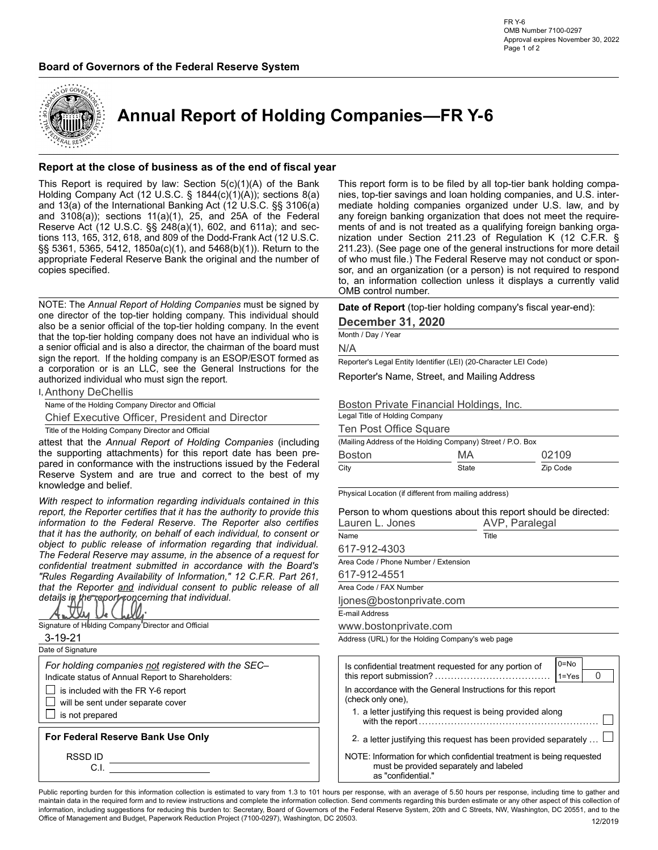

Annual Report of Holding Companies—FR Y-6

### Report at the close of business as of the end of fiscal year

Example of Governors of the Federal Reserve System<br>
Annual Report of Holding Companies—FR Y-6<br>
Annual Report of Holding Companies —FR Y-6<br>
Annual Report at the close of business as of the end of fiscal year<br>
This Report at Board of Governors of the Federal Reserve System<br>
Annual Report of Holding Companies—FR Y-6<br>
Approximately the Report of Holding Companies—FR Y-6<br>
Holding Company Act (12 U.S.C. § 1844(c)(1)(A)); sections 8(a)<br>
Holding Com Fig. 14<br>
Alternation of Governors of the Federal Reserve System<br>
Accousing Properties Nowmber 30, 2022<br>
Accousing Properties Nowmber 30, 2022<br> **Annual Report of Holding Companies — FR Y-6**<br>
Report at the close of business copies specified. **Report at the close of business as of the end of fiscal year<br>
This report form is to be filed by all top-tier hands hold<br>
Holding Company And (12) U.S.C. 6: 8184(6)(1)(A) or below and including Companies and 13(a) of the Example 3**<br> **Example 3**<br> **Example 3**<br> **Example 3**<br> **Example 3**<br> **Example 3**<br> **Example 3**<br> **Example 3**<br> **Example 3**<br> **Example 3**<br> **Example 3**<br> **Example 3**<br> **Example 3**<br> **Example 3**<br> **Example 3**<br> **Example 3**<br> **Example 3**<br>

authorized individual who must sign the report. Reserve Act (12 U.S.C. § 2.248 (24 U.S.C. § 2.248 (24 U.S.C. and since the spectral respect to the particle of the spectral regarding in the spectral Respect to the particle of the spectral regarding to the spectral respe tions 113, 615, 315, 618, and 889 of the Dod-Frank Act (17 U.S.C. nization under Section 211:23) (See page one of the peneral insturbinos for more detail<br>signs 58, 536, 536, 5412, 1850a(c)(1), and 5468(b)(1)). Rektm to th

**I, Anthony DeChellis** 

SS Soci (5:365, S412). It is<br>boson is detected and the general instructions for more detail<br>appropriate Federal Reserve. Bank the original and the number of the original The Federal Reserve may not conduct or spon-<br>copies sign the Federal Reserve Bank the original and the number of or which must file. The Federal Reserve may not constant to specifical and the properties the discussion of each incrementation specifical experiments of the pro sopies specified.<br>
social oscietation of a proportion release of inspiration content in the signed by<br>
NOTE: The *Annual Report of Holding Companies* must be signed by<br>
No. an information collection thus is it displays a NOTE: The Annual Report of Holding Companies must be signed by  $\frac{1}{2}$  CM in information collection unless if displays a currently valid<br>none director of the top-tier holding company. This individual should<br>also be a se NOTE: The Annual Report of Holding Companies must be signed by<br>
confidential treatment submitted in accordance with the state of Report (for-lies one principle in accordance with the treatment of the state of the Descenbe NOTE: The Annual Regard of Holding Companies must be signed by the endemy Device The Boyes (top-tier holding company's fiscal year-end):<br>
Note the top-ther holding company in the top-ther holding company the the coefficien one direct or different of the top the molecula consent to the Boston This included at the Report (top-the rights) and the rights of the state of all the top the formula consent to the Report (top-the rights) and the top-t details in the report concerning that individual.



- is included with the FR Y-6 report
- will be sent under separate cover

**Board of Governors of the Federal Reserve System**<br>
Annual Report of Holding Companies—FR Y-6<br>
Approximate 30, 2022<br>
Annual Report of Holding Companies—FR Y-6<br>
Report at the close of business as of the end of fiscal year<br> **Board of Governors of the Federal Reserve System**<br>
Maps and the complete act (12 U.S.C. §§ **248** Reserve Act (12 U.S.C. §§ 248(a) and  $\frac{1}{2}$ <br> **Annual Report of Holding Companies—FR Y-6**<br>
Report at the close of busines Existence of Governors of the Federal Reserve System<br>
Manual Report of Holding Companies—FR Y-6<br>
Annual Report of Holding Companies—FR Y-6<br>
Report at the close of business as of the end of fiscal year<br>
Helding Companies, a **Example 1998**<br> **Example 2018 on the Federal Reserve System**<br> **Example 2018 on the serve System**<br> **Example 2018 on the serve System**<br> **Example 2018 on the serve System serves November 30, 2022**<br> **Example 30 y law Section 5** Board of Governors of the Federal Reserve System<br>
and the original and the Context of Holding Companies — FR Y-6<br>
Annual Report of Holding Companies — FR Y-6<br>
Annual Report at the close of business as of the end of fiscal This report form is to be filed by all top-tier bank holding compares<br>This report form is to be filed by all top-tier bank holding compa-<br>This report form is to be filed by all top-tier bank holding compa-<br>mediate holding FR Y-6<br>
NMB Number 7100-0297<br>
Approval expires November 30, 2022<br>
Page 1 of 2<br>
Page 1 of 2<br> **COMPORITIES—FR Y-6**<br>
This report form is to be filed by all top-tier bank holding companies,<br>
This report form is to be filed by mediate holding companies organized under U.S. law, and by FR Y-6<br>
COMB Number 7100-0297<br>
Approval expires November 30, 2022<br>
Page 1 of 2<br>
Page 1 of 2<br>
COMP<br>
This report form is to be filed by all top-tier bank holding compa-<br>
This report form is to be filed by all top-tier bank h  $\begin{array}{ll} \text{FRY-6} & \text{OMB Number 7100-0297} \\ \text{OMB Number 7100-0297} & \text{Approxel expires November 30, 2022} \\ \text{Page 1 of 2} & \text{Page 1 of 2} \\ \end{array}$ FR Y-6<br>
OMB Number 7100-0297<br>
Approval expires November 30, 2022<br>
Page 1 of 2<br>
Page 1 of 2<br>
Page 1 of 2<br>
Page 1 of 2<br>
This report form is to be filed by all top-tier bank holding companies,<br>
and U.S. inter-<br>
mediate holdin FRY-6<br>
2011 MeV Number 7100-0297<br>
Approval expires November 30, 2022<br>
Page 1 of 2<br>
Page 1 of 2<br>
2<br> **2011 Divide S—FRY-6**<br>
2<br> **211.** This report form is to be filed by all top-tier bank holding companies,<br>
and U.S. inter-<br> FR Y-6<br>
OMB Number 7100-0297<br>
Approval expires November 30, 2022<br>
Page 1 of 2<br>
Page 1 of 2<br> **Companies, top-tier s** and loan holding companies, and U.S. inter-<br>
mediate holding companies organized under U.S. Iaw, and by<br>
m FR Y-6<br>
OMB Number 7100-0297<br>
Approval expires November 30, 2022<br>
Page 1 of 2<br>
Page 1 of 2<br> **Companies, top-tier savings and loan holding companies, and U.S.** inter-<br>
mediate holding companies organized under U.S. law, and FR Y-6<br>
CMB Number 7100-0297<br>
Approval expires November 30, 2022<br>
Page 1 of 2<br>
Page 1 of 2<br> **COMPODINIES —FR Y-6**<br>
This report form is to be filed by all top-tier bank holding compar-<br>
mediate holding companies organized u OMB control number. Board of Governors of the Federal Reserve System<br>
Notative transmission companies the companies must be signed by all top-tier bank holding companies<br>
Report at the close of business as of the end of fiscal year<br>
Holding **Board of Governors of the Federal Reserve System**<br> **Examples to the control of the State of the State of the State of the State of the State of the State of the State of the State of the State of the State of the State o** Board of Governors of the Federal Reserve System<br>
From the top-tier holding Companies—FR Y-6<br>
Report at the close of business as of the end of fiscal year<br>
This report and the plane include the top-tier holding companies<br> Board of Governors of the Federal Reserve System<br> **Report at the close of business as of the end of fiscal year**<br> **Report at the close of business as of the end of fiscal year**<br>
Holding Company is equivalently and busines **Example 19 (19 and 19 and 19 and 19 and 19 and 19 and 19 and 19 and 19 and 19 and 19 and 19 and 19 and 19 and 19 and 19 and 19 and 19 and 19 and 19 and 19 and 19 and 19 and 19 and 19 and 19 and 19 and 19 and 19 and 19 and Example 2011 Annual Report of Holding Companies—FR Y-6**<br>
Neport at the close of business as of the end of fiscal year<br>
This Report at the close of business as of the end of fiscal year<br>
This Report at the distribution **Example 13**<br> **Annual Report of Holding Companies—FR Y-6**<br> **Report at the close of business as of the end of fiscal year**<br> **This report form is to be flied by all to-tier bank holding compa-**<br> **Fisk Report at the close of** This Report of Houring Control is the Bark Control in the Support of the Bark Control in the Support of the Support of the Support of the Support of the Support of the Support of the internal of the internal of the functi nia response to law. Second Schridton, the based of the separations issued by the conformation and the instructions in the separation of the second by a state of the media of the second by a state of the second of the seco reserve to the total in the system of the system and the system and are true and are true and complete and the system and the system and the system and the system and the system and the system and the system of (172 U.S.C This report form is to be filed by all top-tier bank holding companies, top-tier savings and loan holding companies, and U.S. inter-<br>mediate holding companies organized under U.S. law, and by many foreign banking organiza This report form is to be filed by all top-tier bank holding companies, top-tier savings and loan holding companies, and U.S. intermediate holding companies organization under U.S. law, and by any foreign banking organiza Chief the close of business as of the end of fiscal year<br>
this Report at the close of business as of the end of fiscal year<br>
this Report form is to be filed by all top-for bank holding<br>
olding Company Act (12 U.S.C. § 164 This report form is to be filed by all top-tier bank holding compar-<br>nies, top-tier savings and loan holding companies, and U.S. inter-<br>mediate holding companies organized under U.S. law, and by<br>amy foreign banking organi This report form is to be filed by all top-tier bank holding companies, top-tier savings and loan holding companies, and U.S. intermediate holding companies organized under U.S. law, and by any foreign banking organizatio

| 211.23). (See page one of the general instructions for more detail<br>of who must file.) The Federal Reserve may not conduct or spon-<br>sor, and an organization (or a person) is not required to respond<br>to, an information collection unless it displays a currently valid<br>OMB control number. |       |                   |   |  |
|---------------------------------------------------------------------------------------------------------------------------------------------------------------------------------------------------------------------------------------------------------------------------------------------------------|-------|-------------------|---|--|
| Date of Report (top-tier holding company's fiscal year-end):<br><b>December 31, 2020</b>                                                                                                                                                                                                                |       |                   |   |  |
| Month / Day / Year                                                                                                                                                                                                                                                                                      |       |                   |   |  |
| N/A                                                                                                                                                                                                                                                                                                     |       |                   |   |  |
| Reporter's Legal Entity Identifier (LEI) (20-Character LEI Code)                                                                                                                                                                                                                                        |       |                   |   |  |
| Reporter's Name, Street, and Mailing Address                                                                                                                                                                                                                                                            |       |                   |   |  |
| Boston Private Financial Holdings, Inc.<br>Legal Title of Holding Company                                                                                                                                                                                                                               |       |                   |   |  |
| Ten Post Office Square                                                                                                                                                                                                                                                                                  |       |                   |   |  |
| (Mailing Address of the Holding Company) Street / P.O. Box                                                                                                                                                                                                                                              |       |                   |   |  |
| <b>Boston</b>                                                                                                                                                                                                                                                                                           | МA    | 02109             |   |  |
| City                                                                                                                                                                                                                                                                                                    | State | Zip Code          |   |  |
| Physical Location (if different from mailing address)                                                                                                                                                                                                                                                   |       |                   |   |  |
| Person to whom questions about this report should be directed:<br>Lauren L. Jones                                                                                                                                                                                                                       |       | AVP, Paralegal    |   |  |
| Name                                                                                                                                                                                                                                                                                                    | Title |                   |   |  |
| 617-912-4303                                                                                                                                                                                                                                                                                            |       |                   |   |  |
| Area Code / Phone Number / Extension                                                                                                                                                                                                                                                                    |       |                   |   |  |
| 617-912-4551                                                                                                                                                                                                                                                                                            |       |                   |   |  |
| Area Code / FAX Number                                                                                                                                                                                                                                                                                  |       |                   |   |  |
| ljones@bostonprivate.com                                                                                                                                                                                                                                                                                |       |                   |   |  |
| E-mail Address                                                                                                                                                                                                                                                                                          |       |                   |   |  |
| www.bostonprivate.com                                                                                                                                                                                                                                                                                   |       |                   |   |  |
| Address (URL) for the Holding Company's web page                                                                                                                                                                                                                                                        |       |                   |   |  |
| Is confidential treatment requested for any portion of                                                                                                                                                                                                                                                  |       | 0=No<br>$1 = Yes$ | 0 |  |

| Person to whom questions about this report should be directed: |                |  |  |  |  |  |
|----------------------------------------------------------------|----------------|--|--|--|--|--|
| Lauren L. Jones                                                | AVP, Paralegal |  |  |  |  |  |
| Name                                                           | Title          |  |  |  |  |  |
| 617-912-4303                                                   |                |  |  |  |  |  |

| Name of the Holding Company Director and Official                                                                                       |                                                                       |                                         |                                                                          |  |
|-----------------------------------------------------------------------------------------------------------------------------------------|-----------------------------------------------------------------------|-----------------------------------------|--------------------------------------------------------------------------|--|
|                                                                                                                                         | Boston Private Financial Holdings, Inc.                               |                                         |                                                                          |  |
| Chief Executive Officer, President and Director                                                                                         | Legal Title of Holding Company                                        |                                         |                                                                          |  |
| Title of the Holding Company Director and Official                                                                                      | Ten Post Office Square                                                |                                         |                                                                          |  |
| attest that the Annual Report of Holding Companies (including                                                                           | (Mailing Address of the Holding Company) Street / P.O. Box            |                                         |                                                                          |  |
| the supporting attachments) for this report date has been pre-                                                                          | <b>Boston</b>                                                         | MA                                      | 02109                                                                    |  |
| pared in conformance with the instructions issued by the Federal                                                                        | City                                                                  | State                                   | Zip Code                                                                 |  |
| Reserve System and are true and correct to the best of my                                                                               |                                                                       |                                         |                                                                          |  |
| knowledge and belief.                                                                                                                   | Physical Location (if different from mailing address)                 |                                         |                                                                          |  |
| With respect to information regarding individuals contained in this                                                                     |                                                                       |                                         |                                                                          |  |
| report, the Reporter certifies that it has the authority to provide this                                                                |                                                                       |                                         | Person to whom questions about this report should be directed:           |  |
| information to the Federal Reserve. The Reporter also certifies                                                                         | Lauren L. Jones                                                       |                                         | AVP, Paralegal                                                           |  |
| that it has the authority, on behalf of each individual, to consent or                                                                  | Name                                                                  | Title                                   |                                                                          |  |
| object to public release of information regarding that individual.                                                                      | 617-912-4303                                                          |                                         |                                                                          |  |
| The Federal Reserve may assume, in the absence of a request for                                                                         | Area Code / Phone Number / Extension                                  |                                         |                                                                          |  |
| confidential treatment submitted in accordance with the Board's                                                                         | 617-912-4551                                                          |                                         |                                                                          |  |
| "Rules Regarding Availability of Information," 12 C.F.R. Part 261,<br>that the Reporter and individual consent to public release of all | Area Code / FAX Number                                                |                                         |                                                                          |  |
| details in the report concerning that individual.                                                                                       |                                                                       |                                         |                                                                          |  |
|                                                                                                                                         | ljones@bostonprivate.com                                              |                                         |                                                                          |  |
| Anthy Ve                                                                                                                                | E-mail Address                                                        |                                         |                                                                          |  |
| Signature of Holding Company Director and Official                                                                                      | www.bostonprivate.com                                                 |                                         |                                                                          |  |
| $3 - 19 - 21$                                                                                                                           | Address (URL) for the Holding Company's web page                      |                                         |                                                                          |  |
| Date of Signature                                                                                                                       |                                                                       |                                         |                                                                          |  |
| For holding companies not registered with the SEC-                                                                                      | Is confidential treatment requested for any portion of                |                                         | $0 = No$                                                                 |  |
| Indicate status of Annual Report to Shareholders:                                                                                       |                                                                       |                                         | $\Omega$<br>$ 1=Y$ es                                                    |  |
| $\Box$ is included with the FR Y-6 report                                                                                               | In accordance with the General Instructions for this report           |                                         |                                                                          |  |
| $\Box$ will be sent under separate cover                                                                                                | (check only one).                                                     |                                         |                                                                          |  |
| $\Box$ is not prepared                                                                                                                  | 1. a letter justifying this request is being provided along           |                                         |                                                                          |  |
|                                                                                                                                         |                                                                       |                                         |                                                                          |  |
| For Federal Reserve Bank Use Only                                                                                                       |                                                                       |                                         | 2. a letter justifying this request has been provided separately $\dots$ |  |
| RSSD ID                                                                                                                                 | NOTE: Information for which confidential treatment is being requested |                                         |                                                                          |  |
|                                                                                                                                         |                                                                       | must be provided separately and labeled |                                                                          |  |
|                                                                                                                                         | as "confidential."                                                    |                                         |                                                                          |  |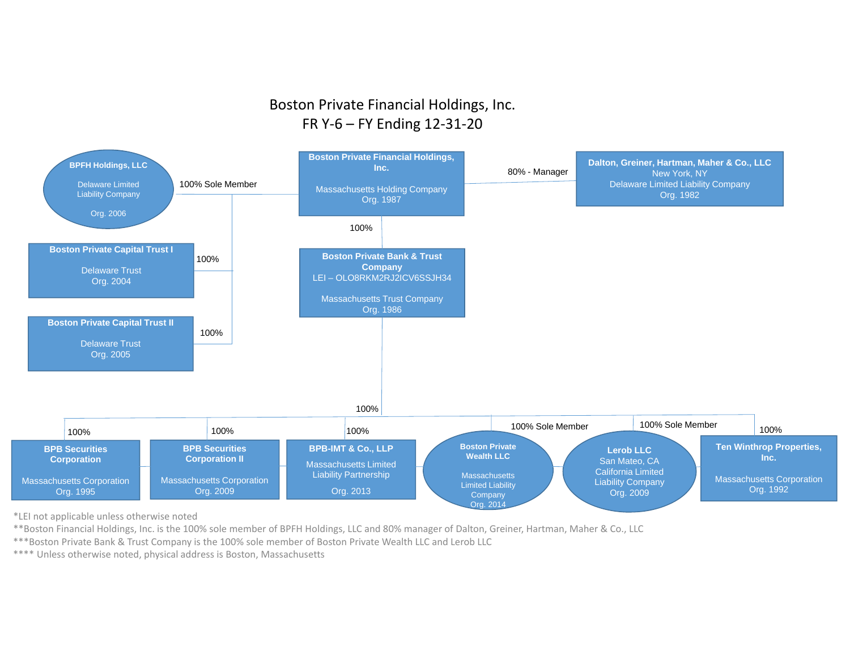# Boston Private Financial Holdings, Inc. FR <sup>Y</sup>‐<sup>6</sup> – FY Ending <sup>12</sup>‐31‐20



\*LEI not applicable unless otherwise noted

\*\*Boston Financial Holdings, Inc. is the 100% sole member of BPFH Holdings, LLC and 80% manager of Dalton, Greiner, Hartman, Maher & Co., LLC

\*\*\*Boston Private Bank & Trust Company is the 100% sole member of Boston Private Wealth LLC and Lerob LLC

\*\*\*\* Unless otherwise noted, physical address is Boston, Massachusetts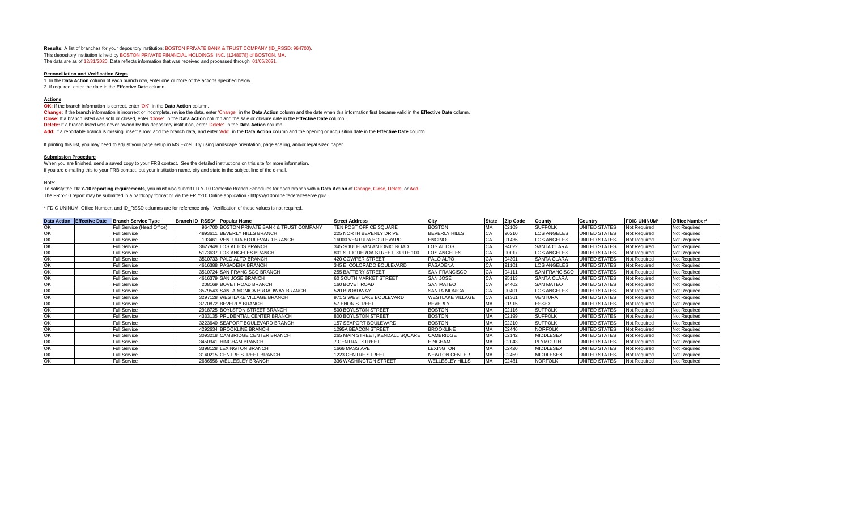**Results:** A list of branches for your depository institution: BOSTON PRIVATE BANK & TRUST COMPANY (ID\_RSSD: 964700). This depository institution is held by BOSTON PRIVATE FINANCIAL HOLDINGS, INC. (1248078) of BOSTON, MA. The data are as of 12/31/2020. Data reflects information that was received and processed through 01/05/2021.

#### **Reconciliation and Verification Steps**

1. In the **Data Action** column of each branch row, enter one or more of the actions specified below 2. If required, enter the date in the **Effective Date** column

#### **Actions**

**OK:** If the branch information is correct, enter 'OK' in the **Data Action** column.

**Change:** If the branch information is incorrect or incomplete, revise the data, enter 'Change' in the **Data Action** column and the date when this information first became valid in the **Effective Date** column. **Close:** If a branch listed was sold or closed, enter 'Close' in the **Data Action** column and the sale or closure date in the **Effective Date** column. **Delete:** If a branch listed was never owned by this depository institution, enter 'Delete' in the **Data Action** column. **Add:** If a reportable branch is missing, insert a row, add the branch data, and enter 'Add' in the **Data Action** column and the opening or acquisition date in the **Effective Date** column.

If printing this list, you may need to adjust your page setup in MS Excel. Try using landscape orientation, page scaling, and/or legal sized paper.

#### **Submission Procedure**

When you are finished, send a saved copy to your FRB contact. See the detailed instructions on this site for more information. If you are e-mailing this to your FRB contact, put your institution name, city and state in the subject line of the e-mail.

Note:

To satisfy the **FR Y-10 reporting requirements**, you must also submit FR Y-10 Domestic Branch Schedules for each branch with a **Data Action** of Change, Close, Delete, or Add. The FR Y-10 report may be submitted in a hardcopy format or via the FR Y-10 Online application - https://y10online.federalreserve.gov.

\* FDIC UNINUM, Office Number, and ID\_RSSD columns are for reference only. Verification of these values is not required.

|    | Data Action Effective Date | <b>Branch Service Type</b> | Branch ID RSSD* Popular Name |                                            | <b>Street Address</b>             | City                    | <b>State</b> | <b>Zip Code</b> | County               | Country              | <b>FDIC UNINUM*</b> | Office Number*      |
|----|----------------------------|----------------------------|------------------------------|--------------------------------------------|-----------------------------------|-------------------------|--------------|-----------------|----------------------|----------------------|---------------------|---------------------|
|    |                            | Full Service (Head Office) |                              | 964700 BOSTON PRIVATE BANK & TRUST COMPANY | TEN POST OFFICE SQUARE            | <b>BOSTON</b>           |              | 02109           | <b>SUFFOLK</b>       | <b>UNITED STATES</b> | Not Required        | Not Required        |
|    |                            | <b>Full Service</b>        |                              | 4893611 BEVERLY HILLS BRANCH               | 225 NORTH BEVERLY DRIVE           | <b>BEVERLY HILLS</b>    | CA           | 90210           | <b>LOS ANGELES</b>   | <b>UNITED STATES</b> | Not Required        | Not Required        |
|    |                            | <b>Full Service</b>        |                              | 193461 VENTURA BOULEVARD BRANCH            | 16000 VENTURA BOULEVARD           | <b>ENCINO</b>           | CA           | 91436           | <b>LOS ANGELES</b>   | <b>UNITED STATES</b> | Not Required        | <b>Not Required</b> |
|    |                            | <b>Full Service</b>        |                              | 3627949 LOS ALTOS BRANCH                   | 345 SOUTH SAN ANTONIO ROAD        | <b>LOS ALTOS</b>        |              | 94022           | <b>SANTA CLARA</b>   | <b>UNITED STATES</b> | Not Required        | Not Required        |
| OK |                            | <b>Full Service</b>        |                              | 5173637 LOS ANGELES BRANCH                 | 801 S. FIGUEROA STREET, SUITE 100 | <b>LOS ANGELES</b>      | CA           | 90017           | <b>LOS ANGELES</b>   | UNITED STATES        | Not Required        | <b>Not Required</b> |
|    |                            | <b>Full Service</b>        |                              | 3510733 PALO ALTO BRANCH                   | 420 COWPER STREET                 | PALO ALTO               | CA           | 94301           | <b>SANTA CLARA</b>   | UNITED STATES        | Not Required        | Not Required        |
|    |                            | <b>Full Service</b>        |                              | 4616388 PASADENA BRANCH                    | 345 E. COLORADO BOULEVARD         | <b>PASADENA</b>         |              | 91101           | <b>LOS ANGELES</b>   | <b>UNITED STATES</b> | Not Required        | Not Required        |
| OK |                            | <b>Full Service</b>        |                              | 3510724 SAN FRANCISCO BRANCH               | 255 BATTERY STREET                | <b>SAN FRANCISCO</b>    | СA           | 94111           | <b>SAN FRANCISCO</b> | <b>UNITED STATES</b> | Not Required        | Not Required        |
| OK |                            | <b>Full Service</b>        |                              | 4616379 SAN JOSE BRANCH                    | 60 SOUTH MARKET STREET            | <b>SAN JOSE</b>         |              | 95113           | <b>SANTA CLARA</b>   | UNITED STATES        | Not Required        | Not Required        |
|    |                            | <b>Full Service</b>        |                              | 208169 BOVET ROAD BRANCH                   | 160 BOVET ROAD                    | <b>SAN MATEO</b>        | СA           | 94402           | <b>SAN MATEO</b>     | UNITED STATES        | Not Required        | Not Required        |
|    |                            | <b>Full Service</b>        |                              | 3579543 SANTA MONICA BROADWAY BRANCH       | 520 BROADWAY                      | <b>SANTA MONICA</b>     | СA           | 90401           | <b>LOS ANGELES</b>   | <b>UNITED STATES</b> | Not Required        | Not Required        |
| OK |                            | <b>Full Service</b>        |                              | 3297128 WESTLAKE VILLAGE BRANCH            | 971 S WESTLAKE BOULEVARD          | <b>WESTLAKE VILLAGE</b> | CА           | 91361           | VENTURA              | <b>UNITED STATES</b> | Not Required        | Not Required        |
|    |                            | <b>Full Service</b>        |                              | 3770872 BEVERLY BRANCH                     | 57 ENON STREET                    | <b>BEVERLY</b>          | MA           | 01915           | <b>ESSEX</b>         | <b>UNITED STATES</b> | Not Required        | Not Required        |
| OK |                            | <b>Full Service</b>        |                              | 2918725 BOYLSTON STREET BRANCH             | 500 BOYLSTON STREET               | <b>BOSTON</b>           | MA           | 02116           | <b>SUFFOLK</b>       | <b>UNITED STATES</b> | Not Required        | <b>Not Required</b> |
|    |                            | <b>Full Service</b>        |                              | 4333135 PRUDENTIAL CENTER BRANCH           | 800 BOYLSTON STREET               | <b>BOSTON</b>           |              | 02199           | <b>SUFFOLK</b>       | <b>UNITED STATES</b> | <b>Not Required</b> | Not Required        |
| OK |                            | <b>Full Service</b>        |                              | 3223640 SEAPORT BOULEVARD BRANCH           | 157 SEAPORT BOULEVARD             | <b>BOSTON</b>           |              | 02210           | <b>SUFFOLK</b>       | <b>UNITED STATES</b> | Not Required        | <b>Not Required</b> |
| OK |                            | <b>Full Service</b>        |                              | 4292634 BROOKLINE BRANCH                   | 1295A BEACON STREET               | <b>BROOKLINE</b>        | МA           | 02446           | <b>NORFOLK</b>       | <b>UNITED STATES</b> | Not Required        | <b>Not Required</b> |
|    |                            | <b>Full Service</b>        |                              | 3093218 CAMBRIDGE CENTER BRANCH            | 265 MAIN STREET, KENDALL SQUARE   | CAMBRIDGE               | MA           | 02142           | <b>MIDDLESEX</b>     | <b>UNITED STATES</b> | <b>Not Required</b> | Not Required        |
| OK |                            | <b>Full Service</b>        |                              | 3450941 HINGHAM BRANCH                     | 7 CENTRAL STREET                  | <b>HINGHAM</b>          | <b>MA</b>    | 02043           | <b>PLYMOUTH</b>      | <b>UNITED STATES</b> | Not Required        | Not Required        |
| OK |                            | <b>Full Service</b>        |                              | 3398128 LEXINGTON BRANCH                   | 1666 MASS AVE                     | <b>LEXINGTON</b>        | MA           | 02420           | <b>MIDDLESEX</b>     | <b>UNITED STATES</b> | Not Required        | Not Required        |
|    |                            | <b>Full Service</b>        |                              | 3140215 CENTRE STREET BRANCH               | 1223 CENTRE STREET                | <b>NEWTON CENTER</b>    | MA           | 02459           | <b>MIDDLESEX</b>     | <b>UNITED STATES</b> | Not Required        | Not Required        |
| OK |                            | <b>Full Service</b>        |                              | 2686556 WELLESLEY BRANCH                   | 336 WASHINGTON STREET             | <b>WELLESLEY HILLS</b>  |              | 02481           | <b>NORFOLK</b>       | UNITED STATES        | Not Required        | <b>Not Required</b> |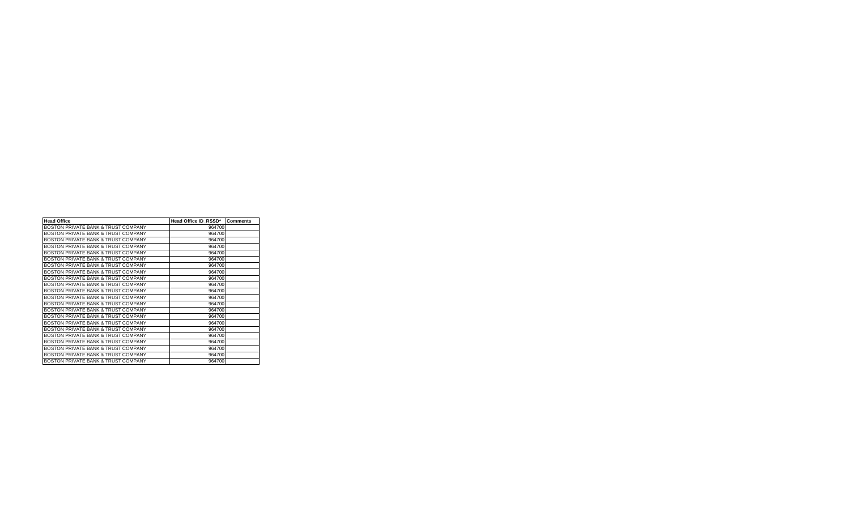| <b>Head Office</b>                             | Head Office ID RSSD* | <b>Comments</b> |
|------------------------------------------------|----------------------|-----------------|
| BOSTON PRIVATE BANK & TRUST COMPANY            | 964700               |                 |
| BOSTON PRIVATE BANK & TRUST COMPANY            | 964700               |                 |
| BOSTON PRIVATE BANK & TRUST COMPANY            | 964700               |                 |
| BOSTON PRIVATE BANK & TRUST COMPANY            | 964700               |                 |
| BOSTON PRIVATE BANK & TRUST COMPANY            | 964700               |                 |
| BOSTON PRIVATE BANK & TRUST COMPANY            | 964700               |                 |
| BOSTON PRIVATE BANK & TRUST COMPANY            | 964700               |                 |
| BOSTON PRIVATE BANK & TRUST COMPANY            | 964700               |                 |
| BOSTON PRIVATE BANK & TRUST COMPANY            | 964700               |                 |
| BOSTON PRIVATE BANK & TRUST COMPANY            | 964700               |                 |
| BOSTON PRIVATE BANK & TRUST COMPANY            | 964700               |                 |
| BOSTON PRIVATE BANK & TRUST COMPANY            | 964700               |                 |
| BOSTON PRIVATE BANK & TRUST COMPANY            | 964700               |                 |
| BOSTON PRIVATE BANK & TRUST COMPANY            | 964700               |                 |
| BOSTON PRIVATE BANK & TRUST COMPANY            | 964700               |                 |
| BOSTON PRIVATE BANK & TRUST COMPANY            | 964700               |                 |
| <b>BOSTON PRIVATE BANK &amp; TRUST COMPANY</b> | 964700               |                 |
| BOSTON PRIVATE BANK & TRUST COMPANY            | 964700               |                 |
| BOSTON PRIVATE BANK & TRUST COMPANY            | 964700               |                 |
| BOSTON PRIVATE BANK & TRUST COMPANY            | 964700               |                 |
| <b>BOSTON PRIVATE BANK &amp; TRUST COMPANY</b> | 964700               |                 |
| <b>BOSTON PRIVATE BANK &amp; TRUST COMPANY</b> | 964700               |                 |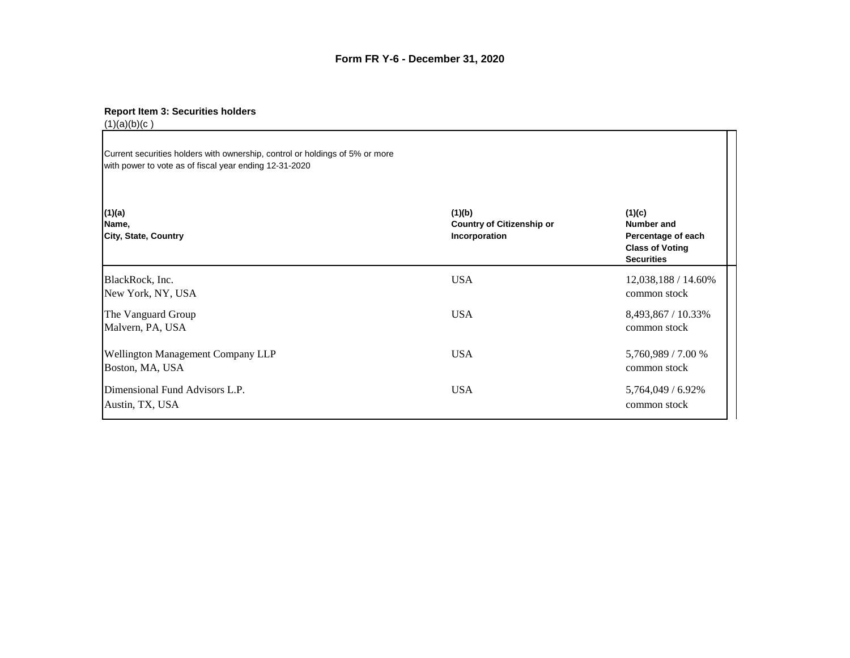### **Report Item 3: Securities holders**

 $(1)(a)(b)(c)$ Current securities holders with ownership, control or holdings of 5% or more with power to vote as of fiscal year ending 12-31-2020 **(1)(a) (1)(b) (1)(c) Name, Country of Citizenship or Number and City, State, Country Incorporation Percentage of each Class of Voting Securities** BlackRock, Inc. 12,038,188 / 14.60% New York, NY, USA common stock The Vanguard Group USA USA 8,493,867 / 10.33% Malvern, PA, USA common stock Wellington Management Company LLP USA USA 5,760,989 / 7.00 % Boston, MA, USA common stock Dimensional Fund Advisors L.P. USA 5,764,049 / 6.92% Austin, TX, USA common stock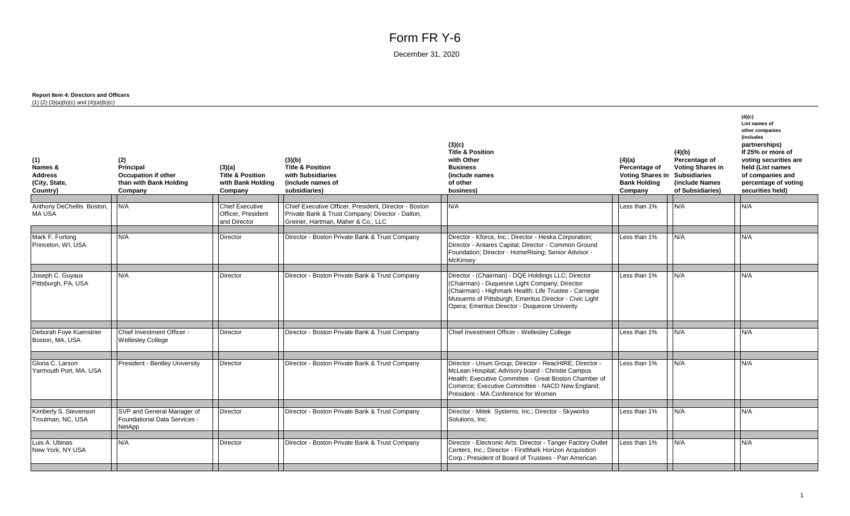# Form FR Y-6

December 31, 2020

### **Report Item 4: Directors and Officers**  $(1)$   $(2)$   $(3)(a)(b)(c)$  and  $(4)(a)(b)(c)$

| (1)<br>Names &<br><b>Address</b><br>(City, State,<br>Country) | (2)<br>Principal<br><b>Occupation if other</b><br>than with Bank Holding<br>Company | (3)(a)<br><b>Title &amp; Position</b><br>with Bank Holding<br>Company | (3)(b)<br><b>Title &amp; Position</b><br>with Subsidiaries<br>(include names of<br>subsidiaries) | (3)(c)<br><b>Title &amp; Position</b><br>with Other<br><b>Business</b><br>(include names<br>of other<br>business)                                                                                                                                                       | (4)(a)<br>Percentage of<br><b>Voting Shares in Subsidiaries</b><br><b>Bank Holding</b><br>Company | (4)(b)<br>Percentage of<br><b>Voting Shares in</b><br>(include Names<br>of Subsidiaries) | (4)(c)<br>List names of<br>other companies<br>(includes<br>partnerships)<br>If 25% or more of<br>voting securities are<br>held (List names<br>of companies and<br>percentage of voting<br>securities held) |
|---------------------------------------------------------------|-------------------------------------------------------------------------------------|-----------------------------------------------------------------------|--------------------------------------------------------------------------------------------------|-------------------------------------------------------------------------------------------------------------------------------------------------------------------------------------------------------------------------------------------------------------------------|---------------------------------------------------------------------------------------------------|------------------------------------------------------------------------------------------|------------------------------------------------------------------------------------------------------------------------------------------------------------------------------------------------------------|
| Anthony DeChellis Boston,                                     | N/A                                                                                 | <b>Chief Executive</b>                                                | Chief Executive Officer, President, Director - Boston                                            | N/A                                                                                                                                                                                                                                                                     | Less than 1%                                                                                      | N/A                                                                                      | N/A                                                                                                                                                                                                        |
| MA USA                                                        |                                                                                     | Officer, President<br>and Director                                    | Private Bank & Trust Company; Director - Dalton,<br>Greiner, Hartman, Maher & Co., LLC           |                                                                                                                                                                                                                                                                         |                                                                                                   |                                                                                          |                                                                                                                                                                                                            |
| Mark F. Furlong<br>Princeton, WI, USA                         | N/A                                                                                 | <b>Director</b>                                                       | Director - Boston Private Bank & Trust Company                                                   | Director - Kforce, Inc.; Director - Heska Corporation;<br>Director - Antares Capital; Director - Common Ground<br>Foundation; Director - HomeRising; Senior Advisor -<br><b>McKinsey</b>                                                                                | Less than 1%                                                                                      | N/A                                                                                      | N/A                                                                                                                                                                                                        |
| Joseph C. Guyaux<br>Pittsburgh, PA, USA                       | N/A                                                                                 | Director                                                              | Director - Boston Private Bank & Trust Company                                                   | Director - (Chairman) - DQE Holdings LLC; Director<br>(Chairman) - Duquesne Light Company; Director<br>(Chairman) - Highmark Health; Life Trustee - Carnegie<br>Musuems of Pittsburgh; Emeritus Director - Civic Light<br>Opera; Emeritus Director - Duquesne Univerity | Less than 1%                                                                                      | N/A                                                                                      | N/A                                                                                                                                                                                                        |
| Deborah Foye Kuenstner                                        | Chief Investment Officer -                                                          | <b>Director</b>                                                       | Director - Boston Private Bank & Trust Company                                                   | Chief Investment Officer - Wellesley College                                                                                                                                                                                                                            | Less than 1%                                                                                      | N/A                                                                                      | N/A                                                                                                                                                                                                        |
| Boston, MA, USA                                               | <b>Wellesley College</b>                                                            |                                                                       |                                                                                                  |                                                                                                                                                                                                                                                                         |                                                                                                   |                                                                                          |                                                                                                                                                                                                            |
| Gloria C. Larson<br>Yarmouth Port, MA, USA                    | President - Bentley University                                                      | <b>Director</b>                                                       | Director - Boston Private Bank & Trust Company                                                   | Director - Unum Group; Director - ReacHIRE; Director -<br>McLean Hospital; Advisory board - Christie Campus<br>Health; Executive Committee - Great Boston Chamber of<br>Comerce; Executive Committee - NACD New England;<br>President - MA Conference for Women         | Less than 1%                                                                                      | N/A                                                                                      | N/A                                                                                                                                                                                                        |
| Kimberly S. Stevenson                                         | SVP and General Manager of                                                          | Director                                                              | Director - Boston Private Bank & Trust Company                                                   | Director - Mitek Systems, Inc.; Director - Skyworks                                                                                                                                                                                                                     | Less than 1%                                                                                      | N/A                                                                                      | N/A                                                                                                                                                                                                        |
| Troutman, NC, USA                                             | Foundational Data Services -<br>NetApp                                              |                                                                       |                                                                                                  | Solutions, Inc.                                                                                                                                                                                                                                                         |                                                                                                   |                                                                                          |                                                                                                                                                                                                            |
| Luis A. Ubinas                                                | N/A                                                                                 | Director                                                              | Director - Boston Private Bank & Trust Company                                                   | Director - Electronic Arts; Director - Tanger Factory Outlet                                                                                                                                                                                                            | Less than 1%                                                                                      | N/A                                                                                      | N/A                                                                                                                                                                                                        |
| New York, NY USA                                              |                                                                                     |                                                                       |                                                                                                  | Centers, Inc.; Director - FirstMark Horizon Acquisition<br>Corp.: President of Board of Trustees - Pan American                                                                                                                                                         |                                                                                                   |                                                                                          |                                                                                                                                                                                                            |
|                                                               |                                                                                     |                                                                       |                                                                                                  |                                                                                                                                                                                                                                                                         |                                                                                                   |                                                                                          |                                                                                                                                                                                                            |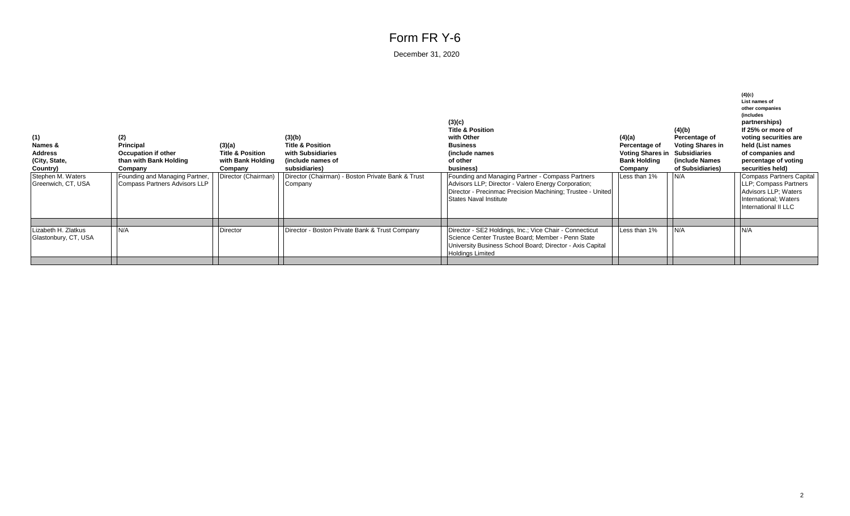# Form FR Y-6

December 31, 2020

| (1)<br>Names &<br><b>Address</b><br>(City, State,<br>Country)<br>Stephen M. Waters<br>Greenwich, CT, USA | (2)<br><b>Principal</b><br>Occupation if other<br>than with Bank Holding<br>Company<br>Founding and Managing Partner,<br>Compass Partners Advisors LLP | (3)(a)<br><b>Title &amp; Position</b><br>with Bank Holding<br>Company<br>Director (Chairman) | (3)(b)<br><b>Title &amp; Position</b><br>with Subsidiaries<br>(include names of<br>subsidiaries)<br>Director (Chairman) - Boston Private Bank & Trust<br>Company | (3)(c)<br><b>Title &amp; Position</b><br>with Other<br><b>Business</b><br>(include names<br>of other<br>business)<br>Founding and Managing Partner - Compass Partners<br>Advisors LLP; Director - Valero Energy Corporation;<br>Director - Precinmac Precision Machining; Trustee - United<br>States Naval Institute | (4)(a)<br>Percentage of<br><b>Voting Shares in</b><br><b>Bank Holding</b><br>Company<br>Less than 1% | (4)(b)<br>Percentage of<br><b>Voting Shares in</b><br>Subsidiaries<br>(include Names<br>of Subsidiaries)<br>N/A | (4)(c)<br>List names of<br>other companies<br><i>(includes</i><br>partnerships)<br>If 25% or more of<br>voting securities are<br>held (List names<br>of companies and<br>percentage of voting<br>securities held)<br>Compass Partners Capital<br>LLP; Compass Partners<br>Advisors LLP; Waters<br>International; Waters<br>International II LLC |
|----------------------------------------------------------------------------------------------------------|--------------------------------------------------------------------------------------------------------------------------------------------------------|----------------------------------------------------------------------------------------------|------------------------------------------------------------------------------------------------------------------------------------------------------------------|----------------------------------------------------------------------------------------------------------------------------------------------------------------------------------------------------------------------------------------------------------------------------------------------------------------------|------------------------------------------------------------------------------------------------------|-----------------------------------------------------------------------------------------------------------------|-------------------------------------------------------------------------------------------------------------------------------------------------------------------------------------------------------------------------------------------------------------------------------------------------------------------------------------------------|
|                                                                                                          |                                                                                                                                                        |                                                                                              |                                                                                                                                                                  |                                                                                                                                                                                                                                                                                                                      |                                                                                                      |                                                                                                                 |                                                                                                                                                                                                                                                                                                                                                 |
| Lizabeth H. Zlatkus<br>Glastonbury, CT, USA                                                              | N/A                                                                                                                                                    | <b>Director</b>                                                                              | Director - Boston Private Bank & Trust Company                                                                                                                   | Director - SE2 Holdings, Inc.; Vice Chair - Connecticut<br>Science Center Trustee Board; Member - Penn State<br>University Business School Board; Director - Axis Capital<br><b>Holdings Limited</b>                                                                                                                 | Less than 1%                                                                                         | N/A                                                                                                             | N/A                                                                                                                                                                                                                                                                                                                                             |
|                                                                                                          |                                                                                                                                                        |                                                                                              |                                                                                                                                                                  |                                                                                                                                                                                                                                                                                                                      |                                                                                                      |                                                                                                                 |                                                                                                                                                                                                                                                                                                                                                 |